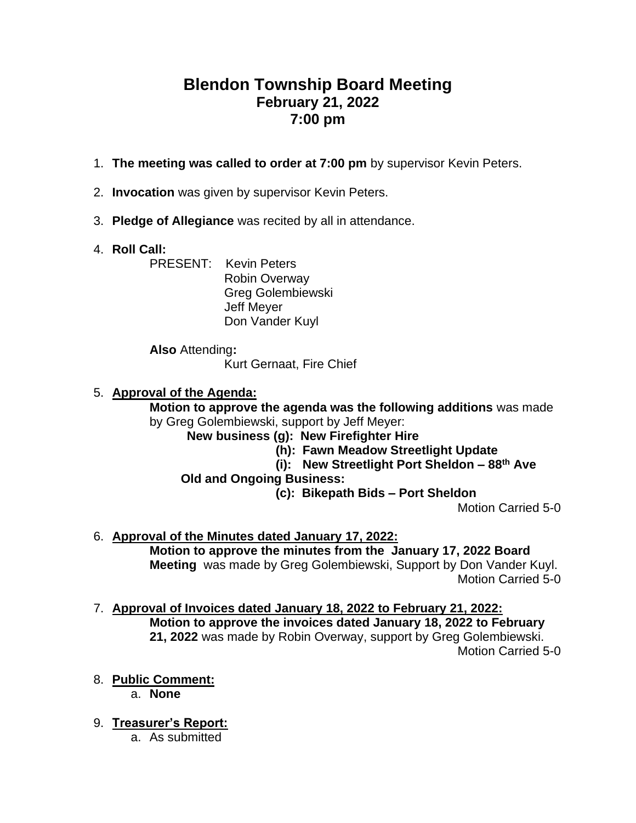# **Blendon Township Board Meeting February 21, 2022 7:00 pm**

- 1. **The meeting was called to order at 7:00 pm** by supervisor Kevin Peters.
- 2. **Invocation** was given by supervisor Kevin Peters.
- 3. **Pledge of Allegiance** was recited by all in attendance.

#### 4. **Roll Call:**

PRESENT: Kevin Peters Robin Overway Greg Golembiewski Jeff Meyer Don Vander Kuyl

**Also** Attending**:**

Kurt Gernaat, Fire Chief

## 5. **Approval of the Agenda:**

**Motion to approve the agenda was the following additions** was made by Greg Golembiewski, support by Jeff Meyer:

**New business (g): New Firefighter Hire**

 **(h): Fawn Meadow Streetlight Update**

 **(i): New Streetlight Port Sheldon – 88th Ave**

 **Old and Ongoing Business:**

 **(c): Bikepath Bids – Port Sheldon**

Motion Carried 5-0

6. **Approval of the Minutes dated January 17, 2022: Motion to approve the minutes from the January 17, 2022 Board Meeting** was made by Greg Golembiewski, Support by Don Vander Kuyl. Motion Carried 5-0

- 7. **Approval of Invoices dated January 18, 2022 to February 21, 2022: Motion to approve the invoices dated January 18, 2022 to February 21, 2022** was made by Robin Overway, support by Greg Golembiewski. Motion Carried 5-0
- 8. **Public Comment:**

a. **None**

9. **Treasurer's Report:**

a. As submitted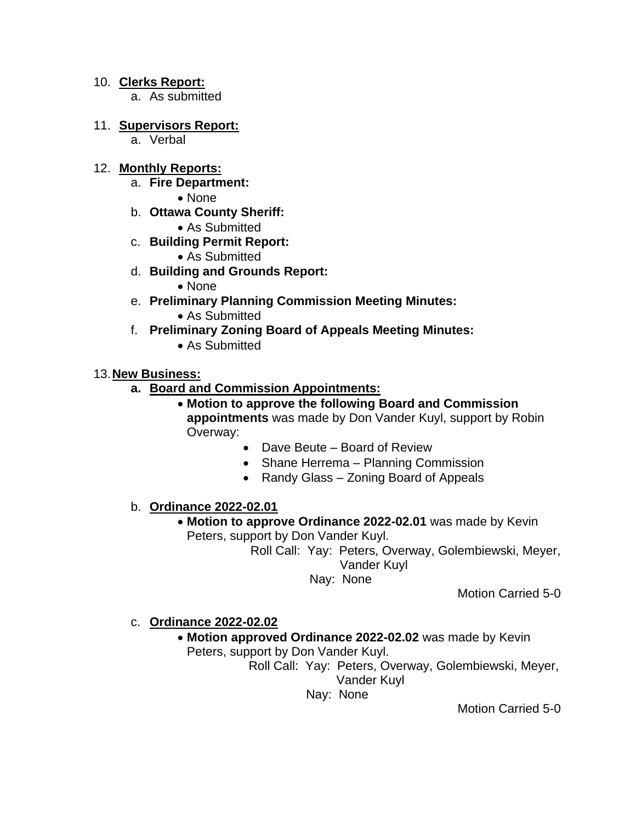#### 10. **Clerks Report:**

a. As submitted

- 11. **Supervisors Report:**
	- a. Verbal

#### 12. **Monthly Reports:**

- a. **Fire Department:** 
	- None
- b. **Ottawa County Sheriff:**
	- As Submitted
- c. **Building Permit Report:**
	- As Submitted
- d. **Building and Grounds Report:**
	- None
- e. **Preliminary Planning Commission Meeting Minutes:**
	- As Submitted
- f. **Preliminary Zoning Board of Appeals Meeting Minutes:**
	- As Submitted

13.**New Business:**

- **a. Board and Commission Appointments:**
	- **Motion to approve the following Board and Commission appointments** was made by Don Vander Kuyl, support by Robin Overway:
		- Dave Beute Board of Review
		- Shane Herrema Planning Commission
		- Randy Glass Zoning Board of Appeals

#### b. **Ordinance 2022-02.01**

• **Motion to approve Ordinance 2022-02.01** was made by Kevin Peters, support by Don Vander Kuyl.

Roll Call: Yay: Peters, Overway, Golembiewski, Meyer, Vander Kuyl

Nay: None

Motion Carried 5-0

## c. **Ordinance 2022-02.02**

- **Motion approved Ordinance 2022-02.02** was made by Kevin
	- Peters, support by Don Vander Kuyl.

 Roll Call: Yay: Peters, Overway, Golembiewski, Meyer, Vander Kuyl

Nay: None

Motion Carried 5-0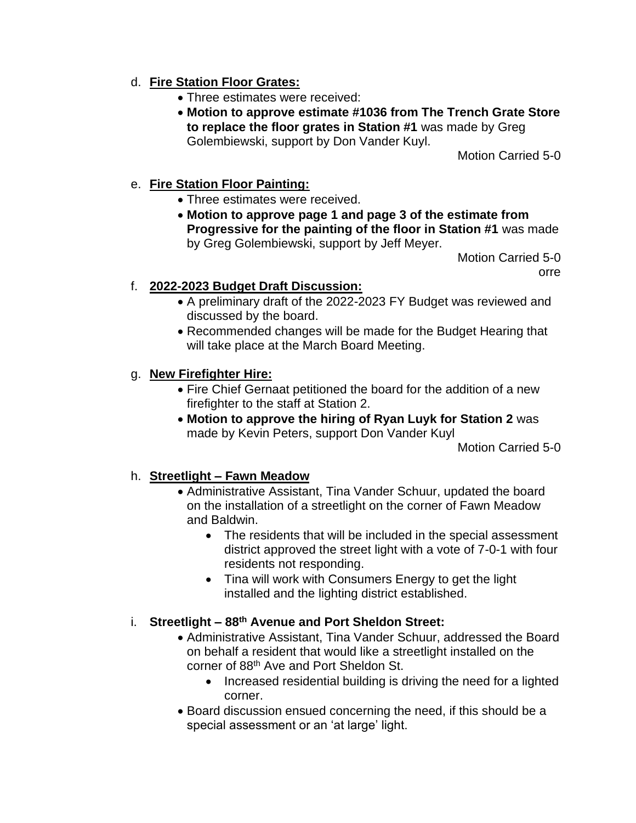# d. **Fire Station Floor Grates:**

- Three estimates were received:
- **Motion to approve estimate #1036 from The Trench Grate Store to replace the floor grates in Station #1** was made by Greg Golembiewski, support by Don Vander Kuyl.

Motion Carried 5-0

# e. **Fire Station Floor Painting:**

- Three estimates were received.
- **Motion to approve page 1 and page 3 of the estimate from Progressive for the painting of the floor in Station #1** was made by Greg Golembiewski, support by Jeff Meyer.

Motion Carried 5-0

orre

## f. **2022-2023 Budget Draft Discussion:**

- A preliminary draft of the 2022-2023 FY Budget was reviewed and discussed by the board.
- Recommended changes will be made for the Budget Hearing that will take place at the March Board Meeting.

# g. **New Firefighter Hire:**

- Fire Chief Gernaat petitioned the board for the addition of a new firefighter to the staff at Station 2.
- **Motion to approve the hiring of Ryan Luyk for Station 2** was made by Kevin Peters, support Don Vander Kuyl

Motion Carried 5-0

## h. **Streetlight – Fawn Meadow**

- Administrative Assistant, Tina Vander Schuur, updated the board on the installation of a streetlight on the corner of Fawn Meadow and Baldwin.
	- The residents that will be included in the special assessment district approved the street light with a vote of 7-0-1 with four residents not responding.
	- Tina will work with Consumers Energy to get the light installed and the lighting district established.

## i. **Streetlight – 88th Avenue and Port Sheldon Street:**

- Administrative Assistant, Tina Vander Schuur, addressed the Board on behalf a resident that would like a streetlight installed on the corner of 88th Ave and Port Sheldon St.
	- Increased residential building is driving the need for a lighted corner.
- Board discussion ensued concerning the need, if this should be a special assessment or an 'at large' light.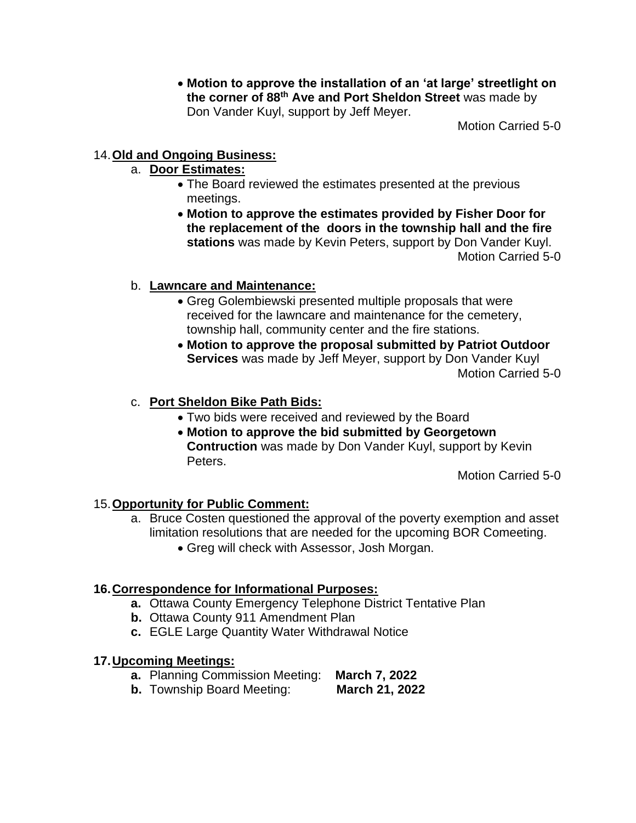• **Motion to approve the installation of an 'at large' streetlight on the corner of 88th Ave and Port Sheldon Street** was made by Don Vander Kuyl, support by Jeff Meyer.

Motion Carried 5-0

## 14.**Old and Ongoing Business:**

#### a. **Door Estimates:**

- The Board reviewed the estimates presented at the previous meetings.
- **Motion to approve the estimates provided by Fisher Door for the replacement of the doors in the township hall and the fire stations** was made by Kevin Peters, support by Don Vander Kuyl. Motion Carried 5-0

#### b. **Lawncare and Maintenance:**

- Greg Golembiewski presented multiple proposals that were received for the lawncare and maintenance for the cemetery, township hall, community center and the fire stations.
- **Motion to approve the proposal submitted by Patriot Outdoor Services** was made by Jeff Meyer, support by Don Vander Kuyl Motion Carried 5-0

#### c. **Port Sheldon Bike Path Bids:**

- Two bids were received and reviewed by the Board
- **Motion to approve the bid submitted by Georgetown Contruction** was made by Don Vander Kuyl, support by Kevin Peters.

Motion Carried 5-0

## 15.**Opportunity for Public Comment:**

- a. Bruce Costen questioned the approval of the poverty exemption and asset limitation resolutions that are needed for the upcoming BOR Comeeting.
	- Greg will check with Assessor, Josh Morgan.

#### **16.Correspondence for Informational Purposes:**

- **a.** Ottawa County Emergency Telephone District Tentative Plan
- **b.** Ottawa County 911 Amendment Plan
- **c.** EGLE Large Quantity Water Withdrawal Notice

## **17.Upcoming Meetings:**

- **a.** Planning Commission Meeting: **March 7, 2022**
- **b.** Township Board Meeting: **March 21, 2022**